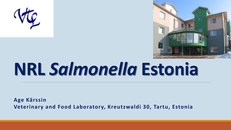



# **NRL** *Salmonella* **Estonia**

**Age Kärssin Veterinary and Food Laboratory, Kreutzwaldi 30, Tartu, Estonia**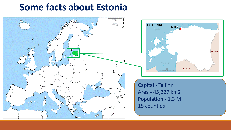#### **Some facts about Estonia**





Capital - Tallinn Area - 45,227 km2 Population - 1.3 M 15 counties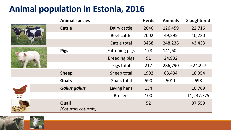#### **Animal population in Estonia, 2016**

|      | <b>Animal species</b>        |                       | <b>Herds</b> | <b>Animals</b> | Slaughtered |
|------|------------------------------|-----------------------|--------------|----------------|-------------|
|      | <b>Cattle</b>                | Dairy cattle          | 2046         | 126,459        | 22,716      |
|      |                              | <b>Beef cattle</b>    | 2002         | 49,295         | 10,220      |
|      |                              | Cattle total          | 3458         | 248,236        | 43,433      |
|      | <b>Pigs</b>                  | <b>Fattening pigs</b> | 178          | 141,602        |             |
|      |                              | <b>Breeding pigs</b>  | 91           | 24,932         |             |
|      |                              | Pigs total            | 217          | 286,790        | 524,227     |
|      | <b>Sheep</b>                 | Sheep total           | 1902         | 83,434         | 18,354      |
|      | <b>Goats</b>                 | Goats total           | 590          | 5011           | 698         |
|      | <b>Gallus gallus</b>         | Laying hens           | 134          |                | 10,769      |
| kana |                              | <b>Broilers</b>       | 100          |                | 11,237,775  |
|      | Quail<br>(Coturnix coturnix) |                       | 52           |                | 87,559      |

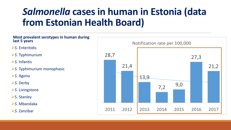### *Salmonella* **casesin human in Estonia (data from Estonian Health Board)**

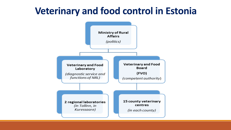#### **Veterinary and food control in Estonia**



i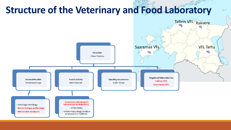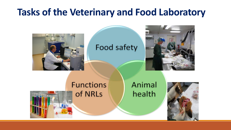### **Tasks of the Veterinary and Food Laboratory**



#### Food safety

l



#### **Functions** of NRLs

#### Animal health

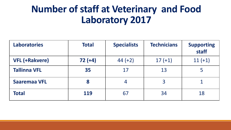### **Number of staff at Veterinary and Food Laboratory 2017**

| <b>Laboratories</b>   | <b>Total</b> | <b>Specialists</b> | <b>Technicians</b> | <b>Supporting</b><br>staff |
|-----------------------|--------------|--------------------|--------------------|----------------------------|
| <b>VFL (+Rakvere)</b> | $72 (+4)$    | $44 (+2)$          | $17 (+1)$          | $11 (+1)$                  |
| <b>Tallinna VFL</b>   | 35           | 17                 | 13                 |                            |
| <b>Saaremaa VFL</b>   | 8            | 4                  | $\overline{3}$     |                            |
| <b>Total</b>          | 119          | 67                 | 34                 | 18                         |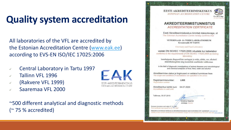### **Quality system accreditation**

All laboratories of the VFL are accredited by the Estonian Accreditation Centre ([www.eak.ee](http://www.eak.ee/)) according to EVS-EN ISO/IEC 17025:2006

- Central Laboratory in Tartu 1997
- Tallinn VFL 1996
- (Rakvere VFL 1999)
- Saaremaa VFL 2000

~500 different analytical and diagnostic methods (~ 75 % accredited)





#### **AKREDITEERIMISTUNNISTUS ACCREDITATION CERTIFICATE**

F.J. ML 4.80

Eesti Akrediteerimiskeskus kinnitab käesolevaga, et The Estonian Accreditation Centre hereby confirms that

VETERINAAR- JA TOIDULABORATOORIUM Kreutzwaldi 30 TARTU

Veterinary and Food Laboratory

vastab EN ISO/IEC 17025:2005 nõuetele kui katselabor conforms to the requirements of EN ISO/IEC 17025:2005 as testing laboratory

loomhaiguste diagnostiliste uuringute ja toidu, sööda, vee, alkoholi mikrobioloogiliste ning keemiliste analüüside valdkonnas

in the field of diagnostic investigations of animal diseases and microbiological and chemical analyses of food, feed, water and alcohol

Akrediteerimise ulatus ja tingimused on esitatud tunnistuse lisas The scope and conditions of accreditation are specified in the annex

Registreerimisnumber: L005 Registration number

Akrediteeritus kehtib kuni: 04.07.2020 Accreditation is valid until:

Tallinnas, 05.07.2015



Esmane tunnistus anti valja 07.10.1997 First certificate was issued on 07,10.1997

Käesoleva tunnistuse kehtivust ja akrediteerimisulatust saab kontrollida EAK veebilehelt vuviv eak ee Validity of the current certificate and accreditation scope can be checked from the EAK web site www.eak.ee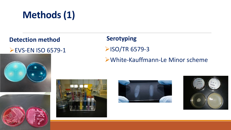## **Methods(1)**

#### **Detection method**

#### **EVS-EN ISO 6579-1**

#### **Serotyping EXAMPLE 25 ISO/TR 6579-3** White-Kauffmann-Le Minor scheme







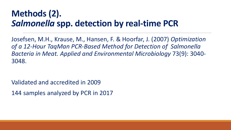#### **Methods (2).** *Salmonella* **spp. detection by real-time PCR**

Josefsen, M.H., Krause, M., Hansen, F. & Hoorfar, J. (2007) *Optimization of a 12-Hour TaqMan PCR-Based Method for Detection of Salmonella Bacteria in Meat. Applied and Environmental Microbiology* 73(9): 3040- 3048.

Validated and accredited in 2009

144 samples analyzed by PCR in 2017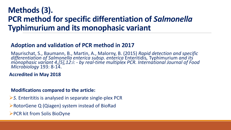#### **Methods (3). PCR method for specific differentiation of** *Salmonella* **Typhimurium and its monophasic variant**

#### **Adoption and validation of PCR method in 2017**

Maurischat, S., Baumann, B., Martin, A., Malorny, B. (2015) Rapid detection and specific<br>differentiation of Salmonella enterica subsp. enterica Enteritidis, Typhimurium and its *monophasic variant 4,[5],12:i: - by real-time multiplex PCR. International Journal of Food Microbiology* 193: 8-14.

**Accredited in May 2018**

#### **Modifications compared to the article:**

- **≻S.** Enterititis is analysed in separate single-plex PCR
- **Example ProtorGene Q (Qiagen) system instead of BioRad**
- **≻PCR kit from Solis BioDyne**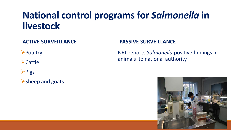### **National control programs for Salmonella in livestock**

#### **ACTIVE SURVEILLANCE**

**>Poultry** 

 $\blacktriangleright$  Cattle

**>Pigs** 

 $\triangleright$  Sheep and goats.

#### **PASSIVE SURVEILLANCE**

NRL reports *Salmonella* positive findings in animals to national authority

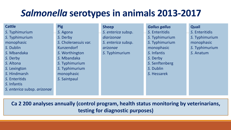### *Salmonella* **serotypes in animals 2013-2017**

| <b>Cattle</b>               | <b>Pig</b>           | <b>Sheep</b>       | <b>Gallus gallus</b> | Quail          |
|-----------------------------|----------------------|--------------------|----------------------|----------------|
| S. Typhimurium              | S. Agona             | S. enterica subsp. | S. Enteritidis       | S. Enteritidis |
| S. Typhimurium              | S. Derby             | diarizonae         | S. Typhimurium       | S. Typhimurium |
| monophasic                  | S. Choleraesuis var. | S. enterica subsp. | S. Typhimurium       | monophasic     |
| S. Dublin                   | <b>Kunzendorf</b>    | arizonae           | monophasic           | S. Typhimurium |
| S. Mbandaka                 | S. Worthington       | S. Typhimurium     | S. Infantis          | S. Anatum      |
| S. Derby                    | S. Mbandaka          |                    | S. Derby             |                |
| S. Altona                   | S. Typhimurium       |                    | S. Senftenberg       |                |
| S. Lexington                | S. Typhimurium       |                    | S. Dublin            |                |
| S. Hindmarsh                | monophasic           |                    | S. Hessarek          |                |
| S. Enteritids               | S. Saintpaul         |                    |                      |                |
| S. Infantis                 |                      |                    |                      |                |
| S. enterica subsp. arizonae |                      |                    |                      |                |
|                             |                      |                    |                      |                |

**Ca 2 200 analyses annually (control program, health status monitoring by veterinarians, testing for diagnostic purposes)**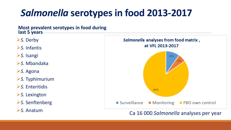### *Salmonella* **serotypesin food 2013-2017**

**Most prevalent serotypes in food during last 5 years**

- **≻S. Derby**
- *S.* Infantis
- *S.* Isangi
- *S.* Mbandaka
- **≻S. Agona**
- *S.* Typhimurium
- *S.* Enteritidis
- *S.* Lexington
- **≻S. Senftenberg**
- 



#### **S. Anatum** Ca 16 000 *Salmonella* analyses per year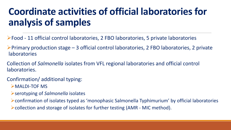### **Coordinate activities of official laboratories for analysis of samples**

- Food 11 official control laboratories, 2 FBO laboratories, 5 private laboratories
- $\triangleright$ Primary production stage 3 official control laboratories, 2 FBO laboratories, 2 private laboratories
- Collection of *Salmonella* isolates from VFL regional laboratories and official control laboratories.
- Confirmation/ additional typing:
	- MALDI-TOF MS
	- serotyping of *Salmonella* isolates
	- confirmation of isolates typed as 'monophasic Salmonella Typhimurium' by official laboratories
	- collection and storage of isolates for further testing (AMR MIC method).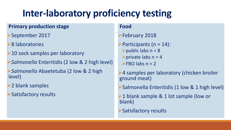### **Inter-laboratory proficiency testing**

#### **Primary production stage**

- September 2017
- 8 laboratories
- $\geq 10$  sock samples per laboratory
- *Salmonella* Enteritidis (2 low & 2 high level)
- *Salmonella* Abaetetuba (2 low & 2 high level)
- **►2 blank samples**
- Satisfactory results

#### **Food**

#### February 2018

 $\blacktriangleright$  Participants (n = 14):  $\blacktriangleright$  public labs n = 8  $\triangleright$  private labs n = 4  $\blacktriangleright$ FBO labs n = 2

4 samples per laboratory (chicken broiler ground meat)

Salmonella Enteritidis (1 low & 1 high level)

 $\geq 1$  blank sample & 1 lot sample (low or blank)

Satisfactory results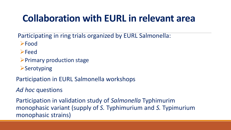### **Collaboration with EURL in relevant area**

Participating in ring trials organized by EURL Salmonella:

**≻Food** 

- **>Feed**
- $\triangleright$  Primary production stage
- **≻Serotyping**

Participation in EURL Salmonella workshops

*Ad hoc* questions

Participation in validation study of *Salmonella* Typhimurim monophasic variant (supply of *S.* Typhimurium and *S.* Typimurium monophasic strains)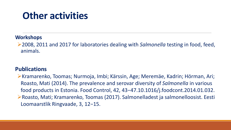### **Other activities**

#### **Workshops**

2008, 2011 and 2017 for laboratories dealing with *Salmonella* testing in food, feed, animals.

#### **Publications**

**EKramarenko, Toomas; Nurmoja, Imbi; Kärssin, Age; Meremäe, Kadrin; Hörman, Ari;** Roasto, Mati (2014). The prevalence and serovar diversity of *Salmonella* in various food products in Estonia. Food Control, 42, 43−47.10.1016/j.foodcont.2014.01.032. Roasto, Mati; Kramarenko, Toomas (2017). Salmonelladest ja salmonelloosist. Eesti Loomaarstlik Ringvaade, 3, 12−15.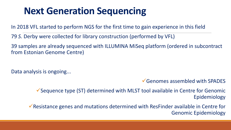### **Next Generation Sequencing**

In 2018 VFL started to perform NGS for the first time to gain experience in this field

79 *S.* Derby were collected for library construction (performed by VFL)

39 samples are already sequenced with ILLUMINA MiSeq platform (ordered in subcontract from Estonian Genome Centre)

Data analysis is ongoing...

Genomes assembled with SPADES

Sequence type (ST) determined with MLST tool available in Centre for Genomic Epidemiology

Resistance genes and mutations determined with ResFinder available in Centre for Genomic Epidemiology